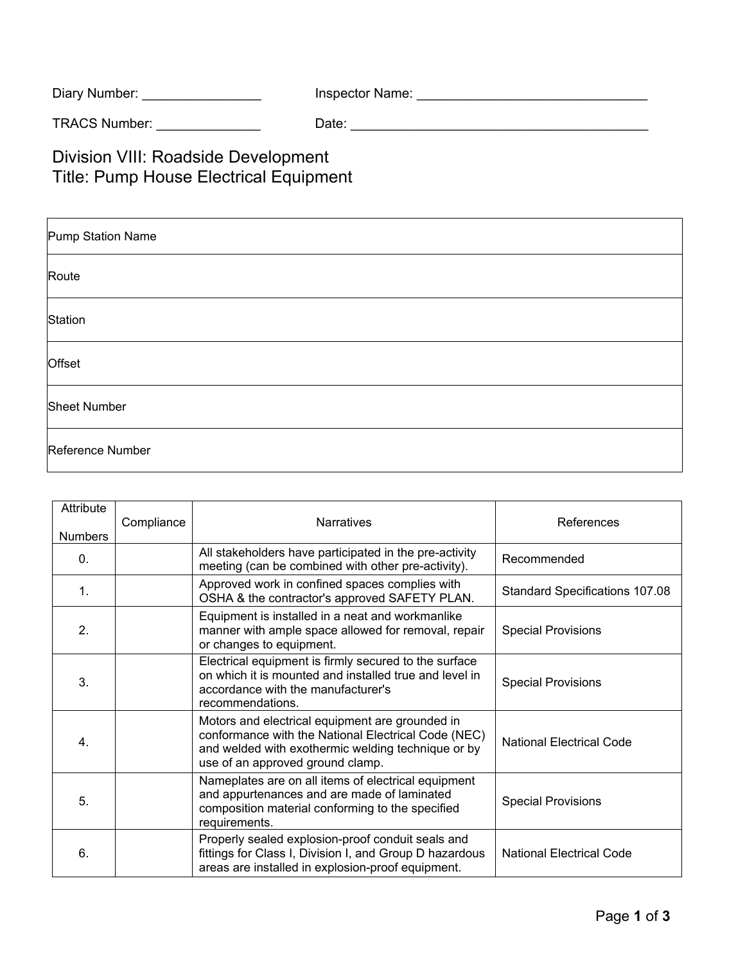| Inspector Name: |
|-----------------|
|                 |

TRACS Number: \_\_\_\_\_\_\_\_\_\_\_\_\_\_ Date: \_\_\_\_\_\_\_\_\_\_\_\_\_\_\_\_\_\_\_\_\_\_\_\_\_\_\_\_\_\_\_\_\_\_\_\_\_\_\_\_

Division VIII: Roadside Development Title: Pump House Electrical Equipment

| Pump Station Name   |
|---------------------|
| Route               |
| Station             |
| Offset              |
| <b>Sheet Number</b> |
| Reference Number    |

| Attribute<br><b>Numbers</b> | Compliance | <b>Narratives</b>                                                                                                                                                                                | References                            |
|-----------------------------|------------|--------------------------------------------------------------------------------------------------------------------------------------------------------------------------------------------------|---------------------------------------|
| $\mathbf{0}$ .              |            | All stakeholders have participated in the pre-activity<br>meeting (can be combined with other pre-activity).                                                                                     | Recommended                           |
| $\mathbf{1}$ .              |            | Approved work in confined spaces complies with<br>OSHA & the contractor's approved SAFETY PLAN.                                                                                                  | <b>Standard Specifications 107.08</b> |
| 2.                          |            | Equipment is installed in a neat and workmanlike<br>manner with ample space allowed for removal, repair<br>or changes to equipment.                                                              | <b>Special Provisions</b>             |
| 3.                          |            | Electrical equipment is firmly secured to the surface<br>on which it is mounted and installed true and level in<br>accordance with the manufacturer's<br>recommendations.                        | <b>Special Provisions</b>             |
| 4 <sup>1</sup>              |            | Motors and electrical equipment are grounded in<br>conformance with the National Electrical Code (NEC)<br>and welded with exothermic welding technique or by<br>use of an approved ground clamp. | National Electrical Code              |
| 5.                          |            | Nameplates are on all items of electrical equipment<br>and appurtenances and are made of laminated<br>composition material conforming to the specified<br>requirements.                          | <b>Special Provisions</b>             |
| 6.                          |            | Properly sealed explosion-proof conduit seals and<br>fittings for Class I, Division I, and Group D hazardous<br>areas are installed in explosion-proof equipment.                                | <b>National Electrical Code</b>       |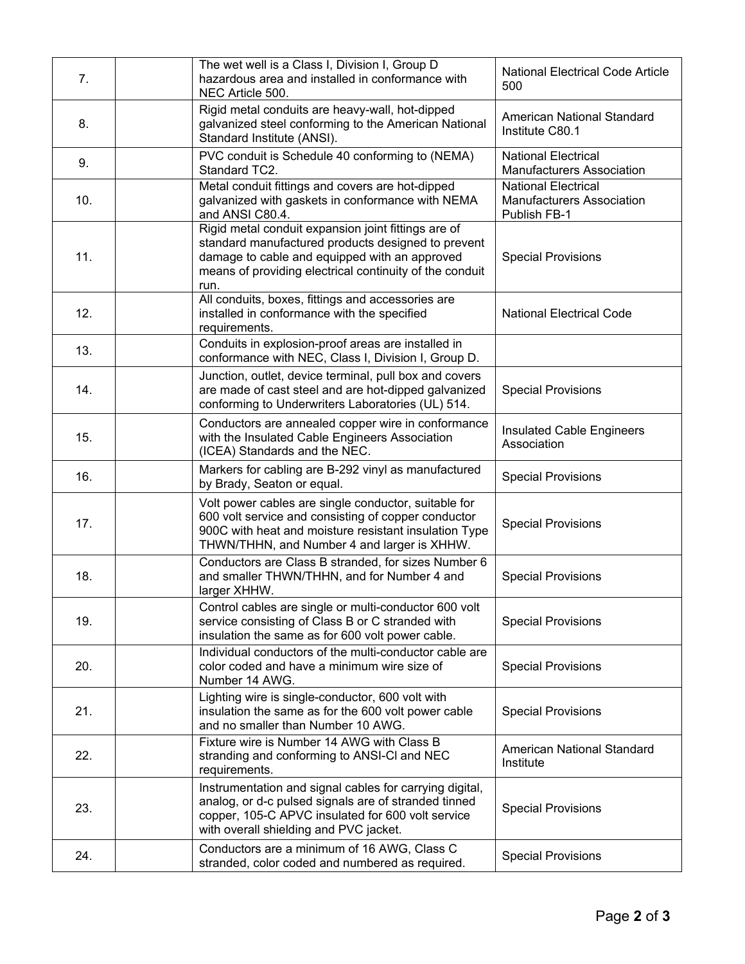| 7.  | The wet well is a Class I, Division I, Group D<br>hazardous area and installed in conformance with<br>NEC Article 500.                                                                                                        | <b>National Electrical Code Article</b><br>500                                 |
|-----|-------------------------------------------------------------------------------------------------------------------------------------------------------------------------------------------------------------------------------|--------------------------------------------------------------------------------|
| 8.  | Rigid metal conduits are heavy-wall, hot-dipped<br>galvanized steel conforming to the American National<br>Standard Institute (ANSI).                                                                                         | American National Standard<br>Institute C80.1                                  |
| 9.  | PVC conduit is Schedule 40 conforming to (NEMA)<br>Standard TC2.                                                                                                                                                              | <b>National Electrical</b><br><b>Manufacturers Association</b>                 |
| 10. | Metal conduit fittings and covers are hot-dipped<br>galvanized with gaskets in conformance with NEMA<br>and ANSI C80.4.                                                                                                       | <b>National Electrical</b><br><b>Manufacturers Association</b><br>Publish FB-1 |
| 11. | Rigid metal conduit expansion joint fittings are of<br>standard manufactured products designed to prevent<br>damage to cable and equipped with an approved<br>means of providing electrical continuity of the conduit<br>run. | <b>Special Provisions</b>                                                      |
| 12. | All conduits, boxes, fittings and accessories are<br>installed in conformance with the specified<br>requirements.                                                                                                             | <b>National Electrical Code</b>                                                |
| 13. | Conduits in explosion-proof areas are installed in<br>conformance with NEC, Class I, Division I, Group D.                                                                                                                     |                                                                                |
| 14. | Junction, outlet, device terminal, pull box and covers<br>are made of cast steel and are hot-dipped galvanized<br>conforming to Underwriters Laboratories (UL) 514.                                                           | <b>Special Provisions</b>                                                      |
| 15. | Conductors are annealed copper wire in conformance<br>with the Insulated Cable Engineers Association<br>(ICEA) Standards and the NEC.                                                                                         | <b>Insulated Cable Engineers</b><br>Association                                |
| 16. | Markers for cabling are B-292 vinyl as manufactured<br>by Brady, Seaton or equal.                                                                                                                                             | <b>Special Provisions</b>                                                      |
| 17. | Volt power cables are single conductor, suitable for<br>600 volt service and consisting of copper conductor<br>900C with heat and moisture resistant insulation Type<br>THWN/THHN, and Number 4 and larger is XHHW.           | <b>Special Provisions</b>                                                      |
| 18. | Conductors are Class B stranded, for sizes Number 6<br>and smaller THWN/THHN, and for Number 4 and<br>larger XHHW.                                                                                                            | <b>Special Provisions</b>                                                      |
| 19. | Control cables are single or multi-conductor 600 volt<br>service consisting of Class B or C stranded with<br>insulation the same as for 600 volt power cable.                                                                 | <b>Special Provisions</b>                                                      |
| 20. | Individual conductors of the multi-conductor cable are<br>color coded and have a minimum wire size of<br>Number 14 AWG.                                                                                                       | <b>Special Provisions</b>                                                      |
| 21. | Lighting wire is single-conductor, 600 volt with<br>insulation the same as for the 600 volt power cable<br>and no smaller than Number 10 AWG.                                                                                 | <b>Special Provisions</b>                                                      |
| 22. | Fixture wire is Number 14 AWG with Class B<br>stranding and conforming to ANSI-CI and NEC<br>requirements.                                                                                                                    | <b>American National Standard</b><br>Institute                                 |
| 23. | Instrumentation and signal cables for carrying digital,<br>analog, or d-c pulsed signals are of stranded tinned<br>copper, 105-C APVC insulated for 600 volt service<br>with overall shielding and PVC jacket.                | <b>Special Provisions</b>                                                      |
| 24. | Conductors are a minimum of 16 AWG, Class C<br>stranded, color coded and numbered as required.                                                                                                                                | <b>Special Provisions</b>                                                      |